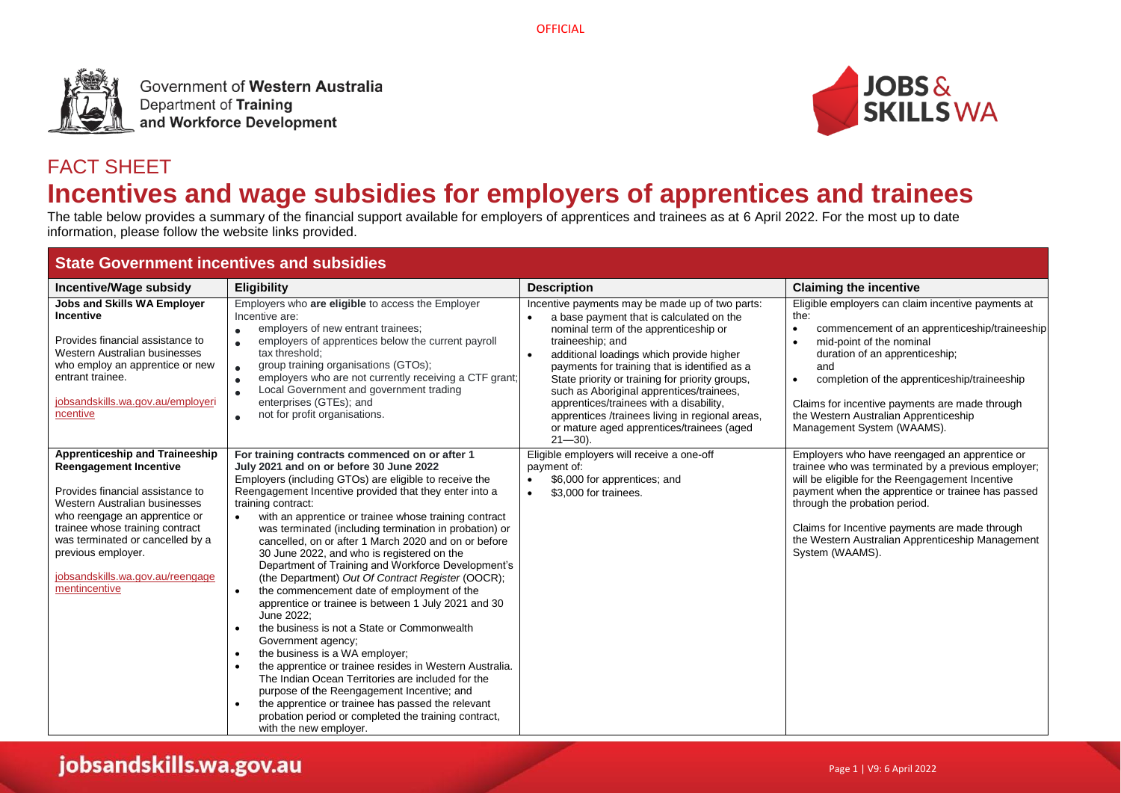

Government of Western Australia Department of Training and Workforce Development



# FACT SHEET **Incentives and wage subsidies for employers of apprentices and trainees**

The table below provides a summary of the financial support available for employers of apprentices and trainees as at 6 April 2022. For the most up to date information, please follow the website links provided.

| <b>State Government incentives and subsidies</b>                                                                                                                                                                                                                                                                        |                                                                                                                                                                                                                                                                                                                                                                                                                                                                                                                                                                                                                                                                                                                                                                                                                                                                                                                                                                                                                                                                                                                                                                                      |                                                                                                                                                                                                                                                                                                                                                                                                                                                                                                                                           |                                                                                                                                                                                                                                                                                                                                                                                     |  |
|-------------------------------------------------------------------------------------------------------------------------------------------------------------------------------------------------------------------------------------------------------------------------------------------------------------------------|--------------------------------------------------------------------------------------------------------------------------------------------------------------------------------------------------------------------------------------------------------------------------------------------------------------------------------------------------------------------------------------------------------------------------------------------------------------------------------------------------------------------------------------------------------------------------------------------------------------------------------------------------------------------------------------------------------------------------------------------------------------------------------------------------------------------------------------------------------------------------------------------------------------------------------------------------------------------------------------------------------------------------------------------------------------------------------------------------------------------------------------------------------------------------------------|-------------------------------------------------------------------------------------------------------------------------------------------------------------------------------------------------------------------------------------------------------------------------------------------------------------------------------------------------------------------------------------------------------------------------------------------------------------------------------------------------------------------------------------------|-------------------------------------------------------------------------------------------------------------------------------------------------------------------------------------------------------------------------------------------------------------------------------------------------------------------------------------------------------------------------------------|--|
| <b>Incentive/Wage subsidy</b>                                                                                                                                                                                                                                                                                           | <b>Eligibility</b>                                                                                                                                                                                                                                                                                                                                                                                                                                                                                                                                                                                                                                                                                                                                                                                                                                                                                                                                                                                                                                                                                                                                                                   | <b>Description</b>                                                                                                                                                                                                                                                                                                                                                                                                                                                                                                                        | <b>Claiming the incentive</b>                                                                                                                                                                                                                                                                                                                                                       |  |
| <b>Jobs and Skills WA Employer</b><br><b>Incentive</b><br>Provides financial assistance to<br>Western Australian businesses<br>who employ an apprentice or new<br>entrant trainee.<br>jobsandskills.wa.gov.au/employeri<br>ncentive                                                                                     | Employers who are eligible to access the Employer<br>Incentive are:<br>employers of new entrant trainees;<br>employers of apprentices below the current payroll<br>$\bullet$<br>tax threshold:<br>group training organisations (GTOs);<br>$\bullet$<br>employers who are not currently receiving a CTF grant;<br>$\bullet$<br>Local Government and government trading<br>$\bullet$<br>enterprises (GTEs); and<br>not for profit organisations.<br>$\bullet$                                                                                                                                                                                                                                                                                                                                                                                                                                                                                                                                                                                                                                                                                                                          | Incentive payments may be made up of two parts:<br>a base payment that is calculated on the<br>$\bullet$<br>nominal term of the apprenticeship or<br>traineeship; and<br>additional loadings which provide higher<br>$\bullet$<br>payments for training that is identified as a<br>State priority or training for priority groups,<br>such as Aboriginal apprentices/trainees,<br>apprentices/trainees with a disability,<br>apprentices /trainees living in regional areas,<br>or mature aged apprentices/trainees (aged<br>$21 - 30$ ). | Eligible employers can claim incentive payments at<br>the:<br>commencement of an apprenticeship/traineeship<br>$\bullet$<br>mid-point of the nominal<br>duration of an apprenticeship;<br>and<br>completion of the apprenticeship/traineeship<br>$\bullet$<br>Claims for incentive payments are made through<br>the Western Australian Apprenticeship<br>Management System (WAAMS). |  |
| Apprenticeship and Traineeship<br><b>Reengagement Incentive</b><br>Provides financial assistance to<br>Western Australian businesses<br>who reengage an apprentice or<br>trainee whose training contract<br>was terminated or cancelled by a<br>previous employer.<br>jobsandskills.wa.gov.au/reengage<br>mentincentive | For training contracts commenced on or after 1<br>July 2021 and on or before 30 June 2022<br>Employers (including GTOs) are eligible to receive the<br>Reengagement Incentive provided that they enter into a<br>training contract:<br>with an apprentice or trainee whose training contract<br>$\bullet$<br>was terminated (including termination in probation) or<br>cancelled, on or after 1 March 2020 and on or before<br>30 June 2022, and who is registered on the<br>Department of Training and Workforce Development's<br>(the Department) Out Of Contract Register (OOCR);<br>the commencement date of employment of the<br>$\bullet$<br>apprentice or trainee is between 1 July 2021 and 30<br>June 2022:<br>the business is not a State or Commonwealth<br>$\bullet$<br>Government agency;<br>the business is a WA employer;<br>$\bullet$<br>the apprentice or trainee resides in Western Australia.<br>$\bullet$<br>The Indian Ocean Territories are included for the<br>purpose of the Reengagement Incentive; and<br>the apprentice or trainee has passed the relevant<br>$\bullet$<br>probation period or completed the training contract,<br>with the new employer. | Eligible employers will receive a one-off<br>payment of:<br>\$6,000 for apprentices; and<br>$\bullet$<br>\$3,000 for trainees.<br>$\bullet$                                                                                                                                                                                                                                                                                                                                                                                               | Employers who have reengaged an apprentice or<br>trainee who was terminated by a previous employer;<br>will be eligible for the Reengagement Incentive<br>payment when the apprentice or trainee has passed<br>through the probation period.<br>Claims for Incentive payments are made through<br>the Western Australian Apprenticeship Management<br>System (WAAMS).               |  |

# jobsandskills.wa.gov.au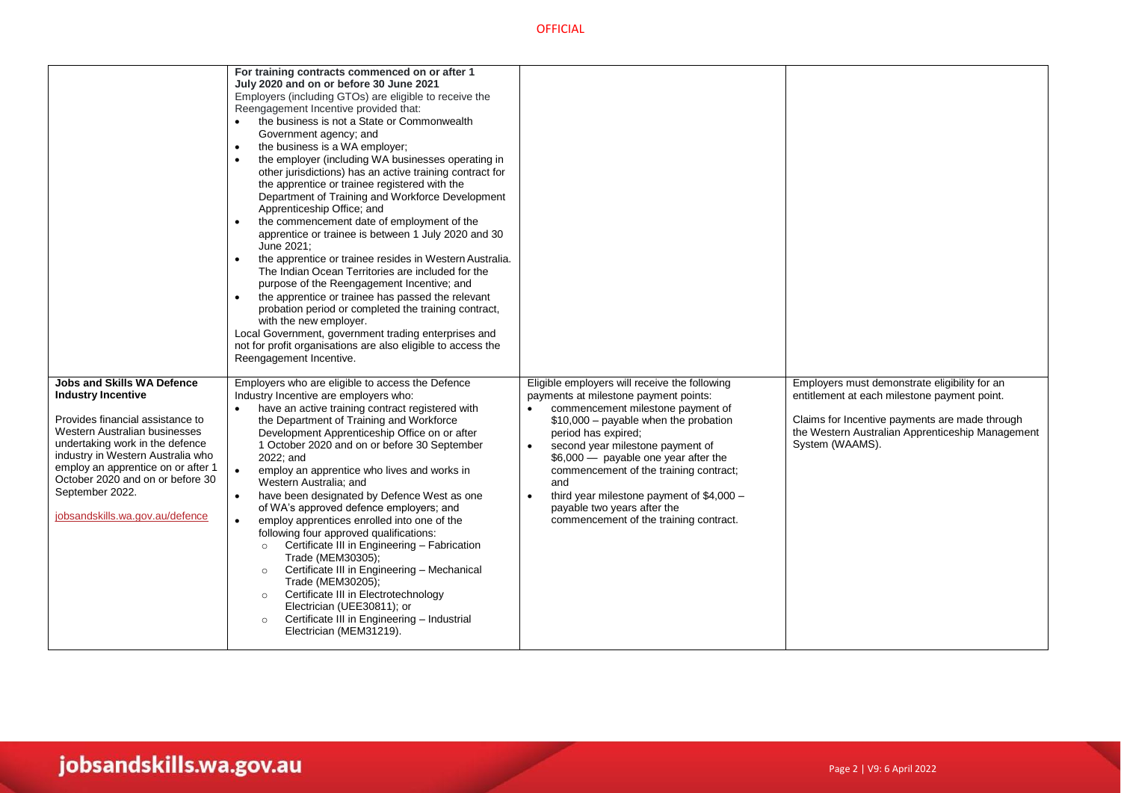|                                                                                                                                                                                                                                                                                                                                             | For training contracts commenced on or after 1<br>July 2020 and on or before 30 June 2021<br>Employers (including GTOs) are eligible to receive the<br>Reengagement Incentive provided that:<br>the business is not a State or Commonwealth<br>$\bullet$<br>Government agency; and<br>the business is a WA employer;<br>the employer (including WA businesses operating in<br>other jurisdictions) has an active training contract for<br>the apprentice or trainee registered with the<br>Department of Training and Workforce Development<br>Apprenticeship Office; and<br>the commencement date of employment of the<br>$\bullet$<br>apprentice or trainee is between 1 July 2020 and 30<br>June 2021;<br>the apprentice or trainee resides in Western Australia.<br>$\bullet$<br>The Indian Ocean Territories are included for the<br>purpose of the Reengagement Incentive; and<br>the apprentice or trainee has passed the relevant<br>probation period or completed the training contract,<br>with the new employer.<br>Local Government, government trading enterprises and<br>not for profit organisations are also eligible to access the<br>Reengagement Incentive. |                                                                                                                                                                                                                                                                                                                                                                                                                                                                                        |                                                                                                                                                                                                                        |
|---------------------------------------------------------------------------------------------------------------------------------------------------------------------------------------------------------------------------------------------------------------------------------------------------------------------------------------------|--------------------------------------------------------------------------------------------------------------------------------------------------------------------------------------------------------------------------------------------------------------------------------------------------------------------------------------------------------------------------------------------------------------------------------------------------------------------------------------------------------------------------------------------------------------------------------------------------------------------------------------------------------------------------------------------------------------------------------------------------------------------------------------------------------------------------------------------------------------------------------------------------------------------------------------------------------------------------------------------------------------------------------------------------------------------------------------------------------------------------------------------------------------------------------|----------------------------------------------------------------------------------------------------------------------------------------------------------------------------------------------------------------------------------------------------------------------------------------------------------------------------------------------------------------------------------------------------------------------------------------------------------------------------------------|------------------------------------------------------------------------------------------------------------------------------------------------------------------------------------------------------------------------|
| <b>Jobs and Skills WA Defence</b><br><b>Industry Incentive</b><br>Provides financial assistance to<br>Western Australian businesses<br>undertaking work in the defence<br>industry in Western Australia who<br>employ an apprentice on or after 1<br>October 2020 and on or before 30<br>September 2022.<br>jobsandskills.wa.gov.au/defence | Employers who are eligible to access the Defence<br>Industry Incentive are employers who:<br>have an active training contract registered with<br>the Department of Training and Workforce<br>Development Apprenticeship Office on or after<br>1 October 2020 and on or before 30 September<br>2022; and<br>$\bullet$<br>employ an apprentice who lives and works in<br>Western Australia; and<br>have been designated by Defence West as one<br>$\bullet$<br>of WA's approved defence employers; and<br>employ apprentices enrolled into one of the<br>$\bullet$<br>following four approved qualifications:<br>Certificate III in Engineering - Fabrication<br>$\circ$<br>Trade (MEM30305);<br>Certificate III in Engineering - Mechanical<br>$\circ$<br>Trade (MEM30205);<br>Certificate III in Electrotechnology<br>$\circ$<br>Electrician (UEE30811); or<br>Certificate III in Engineering - Industrial<br>$\circ$<br>Electrician (MEM31219).                                                                                                                                                                                                                               | Eligible employers will receive the following<br>payments at milestone payment points:<br>commencement milestone payment of<br>$\bullet$<br>$$10,000$ – payable when the probation<br>period has expired;<br>second year milestone payment of<br>$\bullet$<br>\$6,000 - payable one year after the<br>commencement of the training contract;<br>and<br>third year milestone payment of \$4,000 -<br>$\bullet$<br>payable two years after the<br>commencement of the training contract. | Employers must demonstrate eligibility for an<br>entitlement at each milestone payment point.<br>Claims for Incentive payments are made through<br>the Western Australian Apprenticeship Management<br>System (WAAMS). |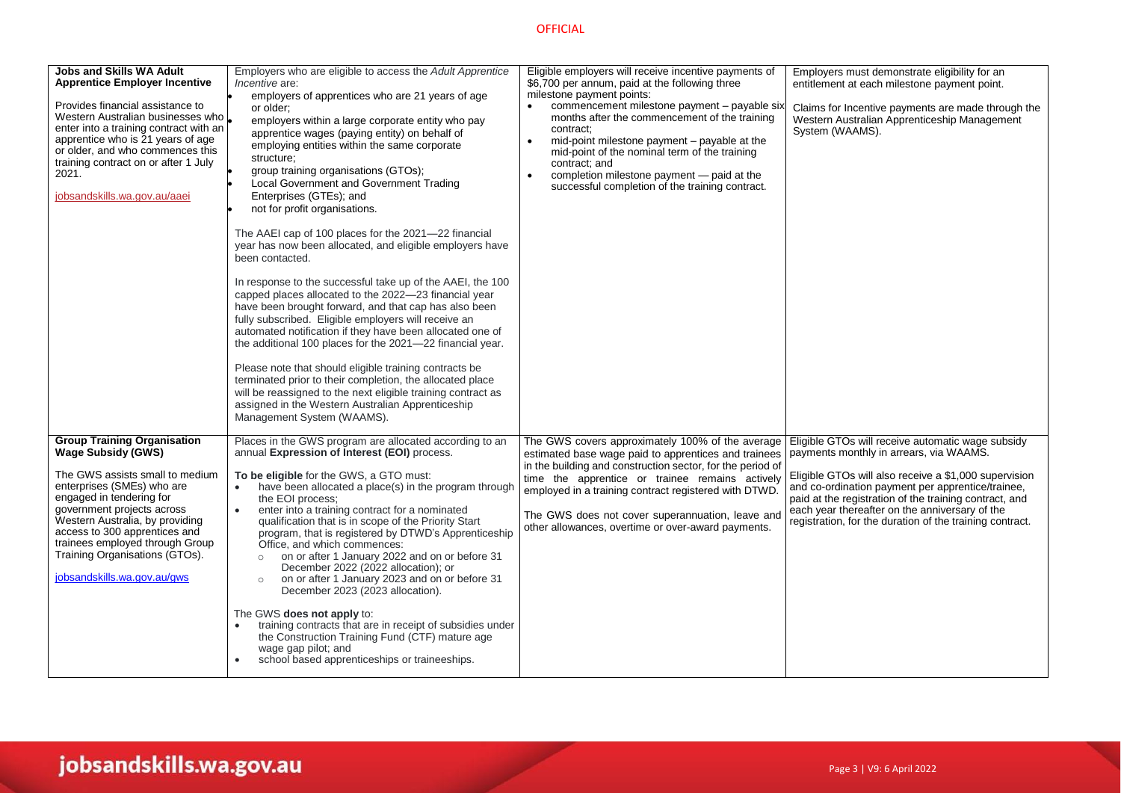| <b>Jobs and Skills WA Adult</b><br><b>Apprentice Employer Incentive</b><br>Provides financial assistance to<br>Western Australian businesses who L<br>enter into a training contract with an<br>apprentice who is 21 years of age<br>or older, and who commences this<br>training contract on or after 1 July<br>2021.<br>jobsandskills.wa.gov.au/aaei             | Employers who are eligible to access the Adult Apprentice<br><i>Incentive</i> are:<br>employers of apprentices who are 21 years of age<br>or older;<br>employers within a large corporate entity who pay<br>apprentice wages (paying entity) on behalf of<br>employing entities within the same corporate<br>structure;<br>group training organisations (GTOs);<br>Local Government and Government Trading<br>Enterprises (GTEs); and<br>not for profit organisations.<br>The AAEI cap of 100 places for the 2021-22 financial<br>year has now been allocated, and eligible employers have<br>been contacted.<br>In response to the successful take up of the AAEI, the 100<br>capped places allocated to the 2022-23 financial year<br>have been brought forward, and that cap has also been<br>fully subscribed. Eligible employers will receive an<br>automated notification if they have been allocated one of<br>the additional 100 places for the 2021-22 financial year.<br>Please note that should eligible training contracts be<br>terminated prior to their completion, the allocated place<br>will be reassigned to the next eligible training contract as<br>assigned in the Western Australian Apprenticeship<br>Management System (WAAMS). | Eligible employers will receive incentive payments of<br>\$6,700 per annum, paid at the following three<br>milestone payment points:<br>commencement milestone payment - payable six<br>months after the commencement of the training<br>contract;<br>mid-point milestone payment - payable at the<br>$\bullet$<br>mid-point of the nominal term of the training<br>contract: and<br>completion milestone payment - paid at the<br>successful completion of the training contract. | Employers must demonstrate eligibility for an<br>entitlement at each milestone payment point.<br>Claims for Incentive payments are made through the<br>Western Australian Apprenticeship Management<br>System (WAAMS).                                                                                                                                                             |
|--------------------------------------------------------------------------------------------------------------------------------------------------------------------------------------------------------------------------------------------------------------------------------------------------------------------------------------------------------------------|-----------------------------------------------------------------------------------------------------------------------------------------------------------------------------------------------------------------------------------------------------------------------------------------------------------------------------------------------------------------------------------------------------------------------------------------------------------------------------------------------------------------------------------------------------------------------------------------------------------------------------------------------------------------------------------------------------------------------------------------------------------------------------------------------------------------------------------------------------------------------------------------------------------------------------------------------------------------------------------------------------------------------------------------------------------------------------------------------------------------------------------------------------------------------------------------------------------------------------------------------------------|------------------------------------------------------------------------------------------------------------------------------------------------------------------------------------------------------------------------------------------------------------------------------------------------------------------------------------------------------------------------------------------------------------------------------------------------------------------------------------|------------------------------------------------------------------------------------------------------------------------------------------------------------------------------------------------------------------------------------------------------------------------------------------------------------------------------------------------------------------------------------|
| <b>Group Training Organisation</b><br><b>Wage Subsidy (GWS)</b><br>The GWS assists small to medium<br>enterprises (SMEs) who are<br>engaged in tendering for<br>government projects across<br>Western Australia, by providing<br>access to 300 apprentices and<br>trainees employed through Group<br>Training Organisations (GTOs).<br>jobsandskills.wa.gov.au/gws | Places in the GWS program are allocated according to an<br>annual Expression of Interest (EOI) process.<br>To be eligible for the GWS, a GTO must:<br>have been allocated a place(s) in the program through<br>the EOI process;<br>enter into a training contract for a nominated<br>$\bullet$<br>qualification that is in scope of the Priority Start<br>program, that is registered by DTWD's Apprenticeship<br>Office, and which commences:<br>on or after 1 January 2022 and on or before 31<br>$\circ$<br>December 2022 (2022 allocation); or<br>on or after 1 January 2023 and on or before 31<br>$\circ$<br>December 2023 (2023 allocation).<br>The GWS does not apply to:<br>training contracts that are in receipt of subsidies under<br>the Construction Training Fund (CTF) mature age<br>wage gap pilot; and<br>school based apprenticeships or traineeships.<br>$\bullet$                                                                                                                                                                                                                                                                                                                                                                    | The GWS covers approximately 100% of the average<br>estimated base wage paid to apprentices and trainees<br>in the building and construction sector, for the period of<br>time the apprentice or trainee remains actively<br>employed in a training contract registered with DTWD.<br>The GWS does not cover superannuation, leave and<br>other allowances, overtime or over-award payments.                                                                                       | Eligible GTOs will receive automatic wage subsidy<br>payments monthly in arrears, via WAAMS.<br>Eligible GTOs will also receive a \$1,000 supervision<br>and co-ordination payment per apprentice/trainee,<br>paid at the registration of the training contract, and<br>each year thereafter on the anniversary of the<br>registration, for the duration of the training contract. |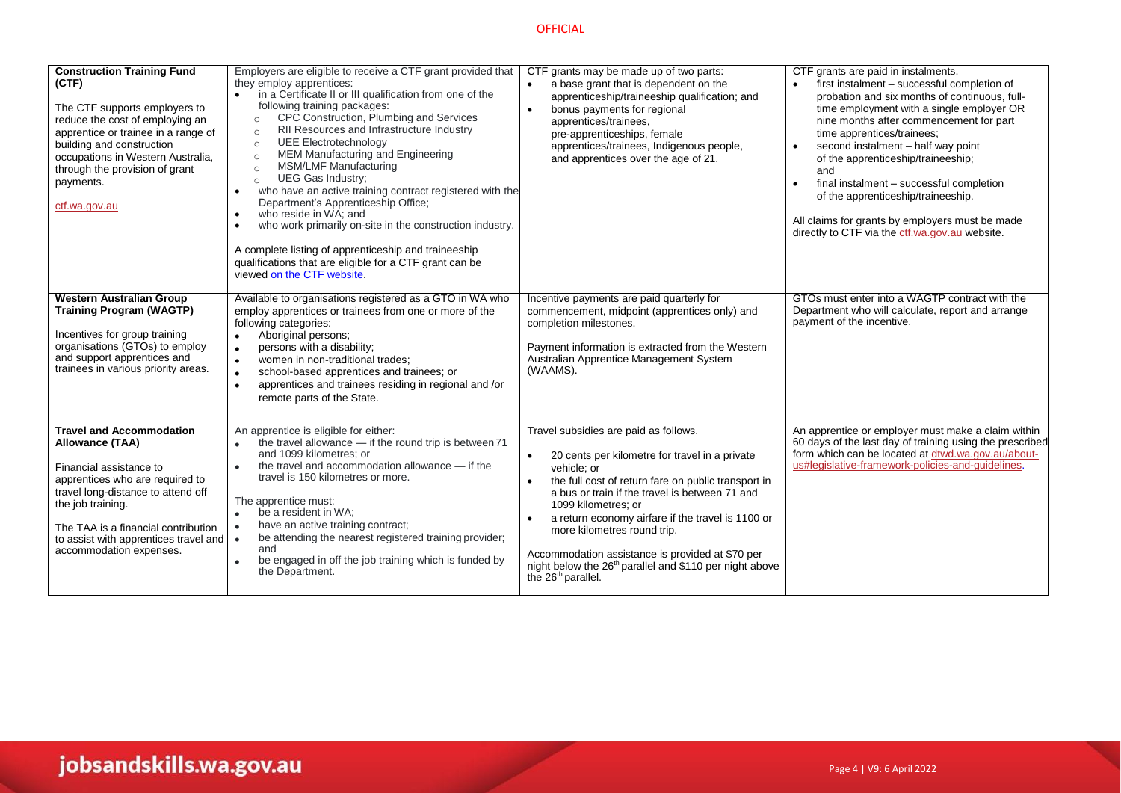| <b>Construction Training Fund</b>                                                                                                                                                                                                                                                      | Employers are eligible to receive a CTF grant provided that                                                                                                                                                                                                                                                                                                                                                                                                                                                                                                                                                                                                                                                                                                                                            | CTF grants may be made up of two parts:                                                                                                                                                                                                                                                                                                                                                                                                                                                                                        | CTF grants are paid in instalments.                                                                                                                                                                                                                                                                                                                                                                                                                                                                       |
|----------------------------------------------------------------------------------------------------------------------------------------------------------------------------------------------------------------------------------------------------------------------------------------|--------------------------------------------------------------------------------------------------------------------------------------------------------------------------------------------------------------------------------------------------------------------------------------------------------------------------------------------------------------------------------------------------------------------------------------------------------------------------------------------------------------------------------------------------------------------------------------------------------------------------------------------------------------------------------------------------------------------------------------------------------------------------------------------------------|--------------------------------------------------------------------------------------------------------------------------------------------------------------------------------------------------------------------------------------------------------------------------------------------------------------------------------------------------------------------------------------------------------------------------------------------------------------------------------------------------------------------------------|-----------------------------------------------------------------------------------------------------------------------------------------------------------------------------------------------------------------------------------------------------------------------------------------------------------------------------------------------------------------------------------------------------------------------------------------------------------------------------------------------------------|
| (CTF)<br>The CTF supports employers to<br>reduce the cost of employing an<br>apprentice or trainee in a range of<br>building and construction<br>occupations in Western Australia,<br>through the provision of grant<br>payments.<br>ctf.wa.gov.au                                     | they employ apprentices:<br>in a Certificate II or III qualification from one of the<br>$\bullet$<br>following training packages:<br>CPC Construction, Plumbing and Services<br>$\circ$<br>RII Resources and Infrastructure Industry<br>$\Omega$<br><b>UEE Electrotechnology</b><br>$\circ$<br>MEM Manufacturing and Engineering<br>$\circ$<br><b>MSM/LMF Manufacturing</b><br>$\circ$<br>UEG Gas Industry;<br>$\circ$<br>who have an active training contract registered with the<br>$\bullet$<br>Department's Apprenticeship Office;<br>who reside in WA; and<br>$\bullet$<br>who work primarily on-site in the construction industry.<br>$\bullet$<br>A complete listing of apprenticeship and traineeship<br>qualifications that are eligible for a CTF grant can be<br>viewed on the CTF website. | a base grant that is dependent on the<br>$\bullet$<br>apprenticeship/traineeship qualification; and<br>bonus payments for regional<br>$\bullet$<br>apprentices/trainees,<br>pre-apprenticeships, female<br>apprentices/trainees, Indigenous people,<br>and apprentices over the age of 21.                                                                                                                                                                                                                                     | first instalment - successful completion of<br>probation and six months of continuous, full-<br>time employment with a single employer OR<br>nine months after commencement for part<br>time apprentices/trainees;<br>second instalment - half way point<br>of the apprenticeship/traineeship;<br>and<br>final instalment - successful completion<br>$\bullet$<br>of the apprenticeship/traineeship.<br>All claims for grants by employers must be made<br>directly to CTF via the ctf.wa.gov.au website. |
| <b>Western Australian Group</b><br><b>Training Program (WAGTP)</b><br>Incentives for group training<br>organisations (GTOs) to employ<br>and support apprentices and<br>trainees in various priority areas.                                                                            | Available to organisations registered as a GTO in WA who<br>employ apprentices or trainees from one or more of the<br>following categories:<br>Aboriginal persons;<br>$\bullet$<br>persons with a disability;<br>$\bullet$<br>women in non-traditional trades;<br>$\bullet$<br>school-based apprentices and trainees; or<br>$\bullet$<br>apprentices and trainees residing in regional and /or<br>$\bullet$<br>remote parts of the State.                                                                                                                                                                                                                                                                                                                                                              | Incentive payments are paid quarterly for<br>commencement, midpoint (apprentices only) and<br>completion milestones.<br>Payment information is extracted from the Western<br>Australian Apprentice Management System<br>(WAAMS).                                                                                                                                                                                                                                                                                               | GTOs must enter into a WAGTP contract with the<br>Department who will calculate, report and arrange<br>payment of the incentive.                                                                                                                                                                                                                                                                                                                                                                          |
| <b>Travel and Accommodation</b><br>Allowance (TAA)<br>Financial assistance to<br>apprentices who are required to<br>travel long-distance to attend off<br>the job training.<br>The TAA is a financial contribution<br>to assist with apprentices travel and<br>accommodation expenses. | An apprentice is eligible for either:<br>the travel allowance - if the round trip is between 71<br>and 1099 kilometres; or<br>the travel and accommodation allowance - if the<br>travel is 150 kilometres or more.<br>The apprentice must:<br>be a resident in WA:<br>$\bullet$<br>have an active training contract;<br>$\bullet$<br>be attending the nearest registered training provider;<br>$\bullet$<br>and<br>be engaged in off the job training which is funded by<br>$\bullet$<br>the Department.                                                                                                                                                                                                                                                                                               | Travel subsidies are paid as follows.<br>20 cents per kilometre for travel in a private<br>$\bullet$<br>vehicle; or<br>the full cost of return fare on public transport in<br>$\bullet$<br>a bus or train if the travel is between 71 and<br>1099 kilometres: or<br>a return economy airfare if the travel is 1100 or<br>$\bullet$<br>more kilometres round trip.<br>Accommodation assistance is provided at \$70 per<br>night below the 26 <sup>th</sup> parallel and \$110 per night above<br>the 26 <sup>th</sup> parallel. | An apprentice or employer must make a claim within<br>60 days of the last day of training using the prescribed<br>form which can be located at dtwd.wa.gov.au/about-<br>us#legislative-framework-policies-and-guidelines.                                                                                                                                                                                                                                                                                 |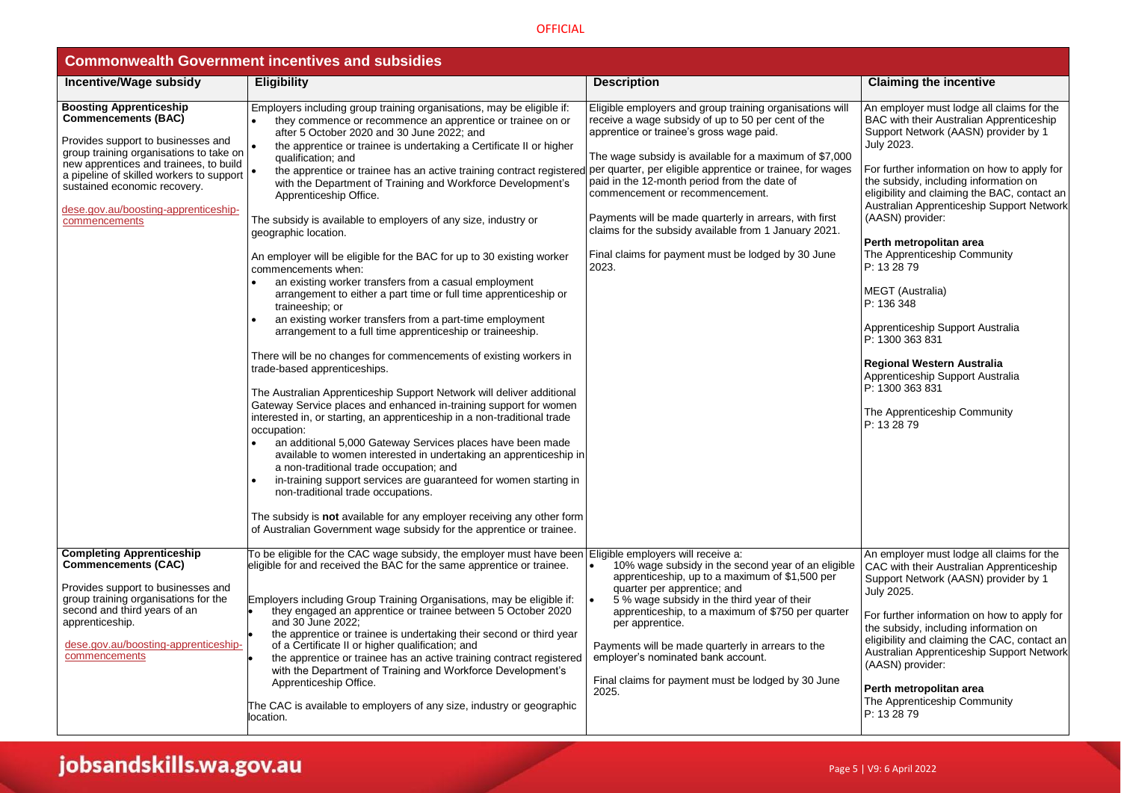| <b>Commonwealth Government incentives and subsidies</b>                                                                                                                                                                                                                                                                                                                                                                                                                                                                                                                                                                                                                                                                                                                                                                                                                                                                                                                                                                                                                                                                                                                                                                                                                                                                                                                                                                                                                                                                                                                                                                                                                                                     |                                                                                                                                                                                                                                                                                                                                                                                                                                                                                                                                                         |                                                                                                                                                                                                                                                                                                                                                                                                                                                                                                                                                                                                                                                                           |  |  |
|-------------------------------------------------------------------------------------------------------------------------------------------------------------------------------------------------------------------------------------------------------------------------------------------------------------------------------------------------------------------------------------------------------------------------------------------------------------------------------------------------------------------------------------------------------------------------------------------------------------------------------------------------------------------------------------------------------------------------------------------------------------------------------------------------------------------------------------------------------------------------------------------------------------------------------------------------------------------------------------------------------------------------------------------------------------------------------------------------------------------------------------------------------------------------------------------------------------------------------------------------------------------------------------------------------------------------------------------------------------------------------------------------------------------------------------------------------------------------------------------------------------------------------------------------------------------------------------------------------------------------------------------------------------------------------------------------------------|---------------------------------------------------------------------------------------------------------------------------------------------------------------------------------------------------------------------------------------------------------------------------------------------------------------------------------------------------------------------------------------------------------------------------------------------------------------------------------------------------------------------------------------------------------|---------------------------------------------------------------------------------------------------------------------------------------------------------------------------------------------------------------------------------------------------------------------------------------------------------------------------------------------------------------------------------------------------------------------------------------------------------------------------------------------------------------------------------------------------------------------------------------------------------------------------------------------------------------------------|--|--|
| <b>Eligibility</b>                                                                                                                                                                                                                                                                                                                                                                                                                                                                                                                                                                                                                                                                                                                                                                                                                                                                                                                                                                                                                                                                                                                                                                                                                                                                                                                                                                                                                                                                                                                                                                                                                                                                                          | <b>Description</b>                                                                                                                                                                                                                                                                                                                                                                                                                                                                                                                                      | <b>Claiming the incentive</b>                                                                                                                                                                                                                                                                                                                                                                                                                                                                                                                                                                                                                                             |  |  |
| Employers including group training organisations, may be eligible if:<br>they commence or recommence an apprentice or trainee on or<br>after 5 October 2020 and 30 June 2022; and<br>the apprentice or trainee is undertaking a Certificate II or higher<br>qualification; and<br>the apprentice or trainee has an active training contract registered<br>with the Department of Training and Workforce Development's<br>Apprenticeship Office.<br>The subsidy is available to employers of any size, industry or<br>geographic location.<br>An employer will be eligible for the BAC for up to 30 existing worker<br>commencements when:<br>an existing worker transfers from a casual employment<br>arrangement to either a part time or full time apprenticeship or<br>traineeship; or<br>an existing worker transfers from a part-time employment<br>arrangement to a full time apprenticeship or traineeship.<br>There will be no changes for commencements of existing workers in<br>trade-based apprenticeships.<br>The Australian Apprenticeship Support Network will deliver additional<br>Gateway Service places and enhanced in-training support for women<br>interested in, or starting, an apprenticeship in a non-traditional trade<br>occupation:<br>an additional 5,000 Gateway Services places have been made<br>available to women interested in undertaking an apprenticeship in<br>a non-traditional trade occupation; and<br>in-training support services are guaranteed for women starting in<br>non-traditional trade occupations.<br>The subsidy is not available for any employer receiving any other form<br>of Australian Government wage subsidy for the apprentice or trainee. | Eligible employers and group training organisations will<br>receive a wage subsidy of up to 50 per cent of the<br>apprentice or trainee's gross wage paid.<br>The wage subsidy is available for a maximum of \$7,000<br>per quarter, per eligible apprentice or trainee, for wages<br>paid in the 12-month period from the date of<br>commencement or recommencement.<br>Payments will be made quarterly in arrears, with first<br>claims for the subsidy available from 1 January 2021.<br>Final claims for payment must be lodged by 30 June<br>2023. | An employer must lodge all claims for the<br>BAC with their Australian Apprenticeship<br>Support Network (AASN) provider by 1<br>July 2023.<br>For further information on how to apply for<br>the subsidy, including information on<br>eligibility and claiming the BAC, contact an<br>Australian Apprenticeship Support Network<br>(AASN) provider:<br>Perth metropolitan area<br>The Apprenticeship Community<br>P: 13 28 79<br><b>MEGT</b> (Australia)<br>P: 136 348<br>Apprenticeship Support Australia<br>P: 1300 363 831<br><b>Regional Western Australia</b><br>Apprenticeship Support Australia<br>P: 1300 363 831<br>The Apprenticeship Community<br>P: 13 28 79 |  |  |
| To be eligible for the CAC wage subsidy, the employer must have been<br>eligible for and received the BAC for the same apprentice or trainee.<br>Employers including Group Training Organisations, may be eligible if:<br>they engaged an apprentice or trainee between 5 October 2020<br>and 30 June 2022;<br>the apprentice or trainee is undertaking their second or third year<br>of a Certificate II or higher qualification; and<br>the apprentice or trainee has an active training contract registered<br>with the Department of Training and Workforce Development's<br>Apprenticeship Office.<br>The CAC is available to employers of any size, industry or geographic                                                                                                                                                                                                                                                                                                                                                                                                                                                                                                                                                                                                                                                                                                                                                                                                                                                                                                                                                                                                                            | Eligible employers will receive a:<br>10% wage subsidy in the second year of an eligible<br>apprenticeship, up to a maximum of \$1,500 per<br>quarter per apprentice; and<br>5 % wage subsidy in the third year of their<br>apprenticeship, to a maximum of \$750 per quarter<br>per apprentice.<br>Payments will be made quarterly in arrears to the<br>employer's nominated bank account.<br>Final claims for payment must be lodged by 30 June<br>2025.                                                                                              | An employer must lodge all claims for the<br>CAC with their Australian Apprenticeship<br>Support Network (AASN) provider by 1<br>July 2025.<br>For further information on how to apply for<br>the subsidy, including information on<br>eligibility and claiming the CAC, contact an<br>Australian Apprenticeship Support Network<br>(AASN) provider:<br>Perth metropolitan area<br>The Apprenticeship Community<br>P: 13 28 79                                                                                                                                                                                                                                            |  |  |
|                                                                                                                                                                                                                                                                                                                                                                                                                                                                                                                                                                                                                                                                                                                                                                                                                                                                                                                                                                                                                                                                                                                                                                                                                                                                                                                                                                                                                                                                                                                                                                                                                                                                                                             | group training organisations to take on<br>new apprentices and trainees, to build<br>a pipeline of skilled workers to support<br>location.                                                                                                                                                                                                                                                                                                                                                                                                              |                                                                                                                                                                                                                                                                                                                                                                                                                                                                                                                                                                                                                                                                           |  |  |

# jobsandskills.wa.gov.au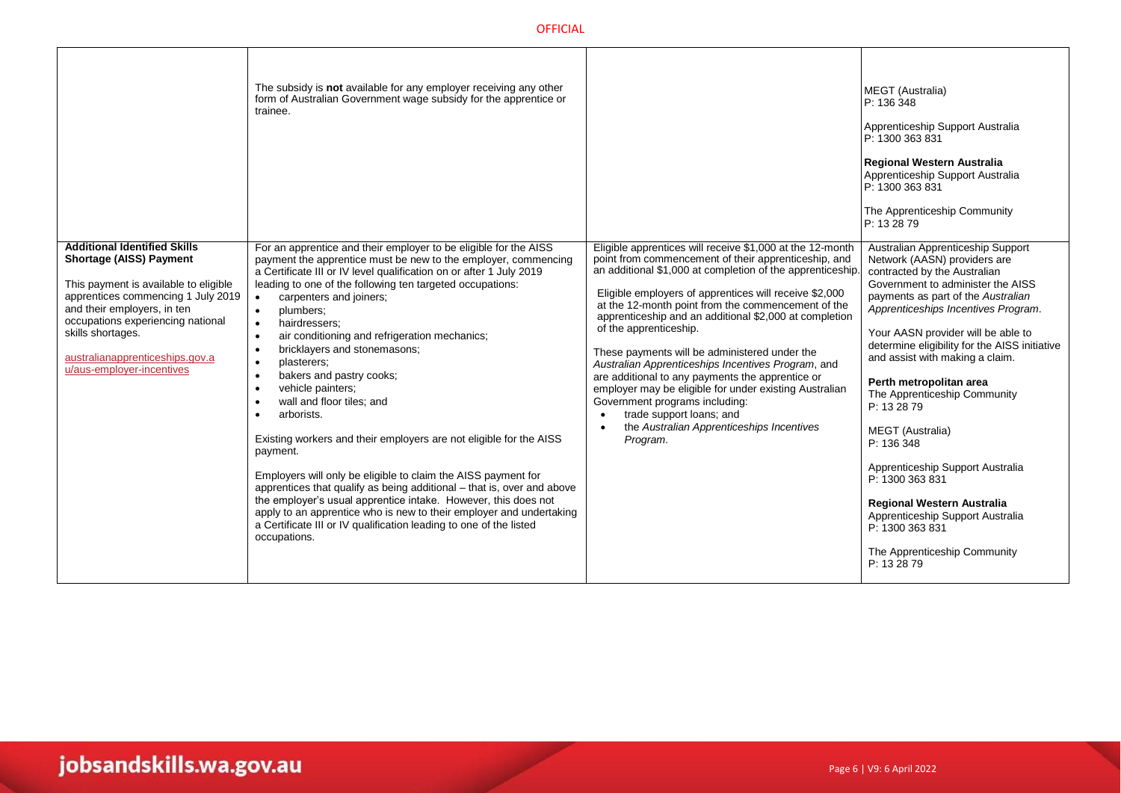|                                                                                                                                                                                                                                                                                                               | The subsidy is <b>not</b> available for any employer receiving any other<br>form of Australian Government wage subsidy for the apprentice or<br>trainee.                                                                                                                                                                                                                                                                                                                                                                                                                                                                                                                                                                                                                                                                                                                                                                                                                                                                                                                                        |                                                                                                                                                                                                                                                                                                                                                                                                                                                                                                                                                                                                                                                                                                                                                          | MEGT (Australia)<br>P: 136 348<br>Apprenticeship Support Australia<br>P: 1300 363 831<br><b>Regional Western Australia</b><br>Apprenticeship Support Australia<br>P: 1300 363 831<br>The Apprenticeship Community<br>P: 13 28 79                                                                                                                                                                                                                                                                                                                                                                                                                            |
|---------------------------------------------------------------------------------------------------------------------------------------------------------------------------------------------------------------------------------------------------------------------------------------------------------------|-------------------------------------------------------------------------------------------------------------------------------------------------------------------------------------------------------------------------------------------------------------------------------------------------------------------------------------------------------------------------------------------------------------------------------------------------------------------------------------------------------------------------------------------------------------------------------------------------------------------------------------------------------------------------------------------------------------------------------------------------------------------------------------------------------------------------------------------------------------------------------------------------------------------------------------------------------------------------------------------------------------------------------------------------------------------------------------------------|----------------------------------------------------------------------------------------------------------------------------------------------------------------------------------------------------------------------------------------------------------------------------------------------------------------------------------------------------------------------------------------------------------------------------------------------------------------------------------------------------------------------------------------------------------------------------------------------------------------------------------------------------------------------------------------------------------------------------------------------------------|-------------------------------------------------------------------------------------------------------------------------------------------------------------------------------------------------------------------------------------------------------------------------------------------------------------------------------------------------------------------------------------------------------------------------------------------------------------------------------------------------------------------------------------------------------------------------------------------------------------------------------------------------------------|
| <b>Additional Identified Skills</b><br><b>Shortage (AISS) Payment</b><br>This payment is available to eligible<br>apprentices commencing 1 July 2019<br>and their employers, in ten<br>occupations experiencing national<br>skills shortages.<br>australianapprenticeships.gov.a<br>u/aus-employer-incentives | For an apprentice and their employer to be eligible for the AISS<br>payment the apprentice must be new to the employer, commencing<br>a Certificate III or IV level qualification on or after 1 July 2019<br>leading to one of the following ten targeted occupations:<br>carpenters and joiners;<br>$\bullet$<br>plumbers:<br>$\bullet$<br>hairdressers:<br>$\bullet$<br>air conditioning and refrigeration mechanics;<br>$\bullet$<br>bricklayers and stonemasons;<br>$\bullet$<br>plasterers;<br>$\bullet$<br>bakers and pastry cooks;<br>$\bullet$<br>vehicle painters;<br>$\bullet$<br>wall and floor tiles; and<br>arborists.<br>Existing workers and their employers are not eligible for the AISS<br>payment.<br>Employers will only be eligible to claim the AISS payment for<br>apprentices that qualify as being additional - that is, over and above<br>the employer's usual apprentice intake. However, this does not<br>apply to an apprentice who is new to their employer and undertaking<br>a Certificate III or IV qualification leading to one of the listed<br>occupations. | Eligible apprentices will receive \$1,000 at the 12-month<br>point from commencement of their apprenticeship, and<br>an additional \$1,000 at completion of the apprenticeship<br>Eligible employers of apprentices will receive \$2,000<br>at the 12-month point from the commencement of the<br>apprenticeship and an additional \$2,000 at completion<br>of the apprenticeship.<br>These payments will be administered under the<br>Australian Apprenticeships Incentives Program, and<br>are additional to any payments the apprentice or<br>employer may be eligible for under existing Australian<br>Government programs including:<br>trade support loans; and<br>$\bullet$<br>the Australian Apprenticeships Incentives<br>$\bullet$<br>Program. | Australian Apprenticeship Support<br>Network (AASN) providers are<br>contracted by the Australian<br>Government to administer the AISS<br>payments as part of the Australian<br>Apprenticeships Incentives Program.<br>Your AASN provider will be able to<br>determine eligibility for the AISS initiative<br>and assist with making a claim.<br>Perth metropolitan area<br>The Apprenticeship Community<br>P: 13 28 79<br>MEGT (Australia)<br>P: 136 348<br>Apprenticeship Support Australia<br>P: 1300 363 831<br><b>Regional Western Australia</b><br>Apprenticeship Support Australia<br>P: 1300 363 831<br>The Apprenticeship Community<br>P: 13 28 79 |